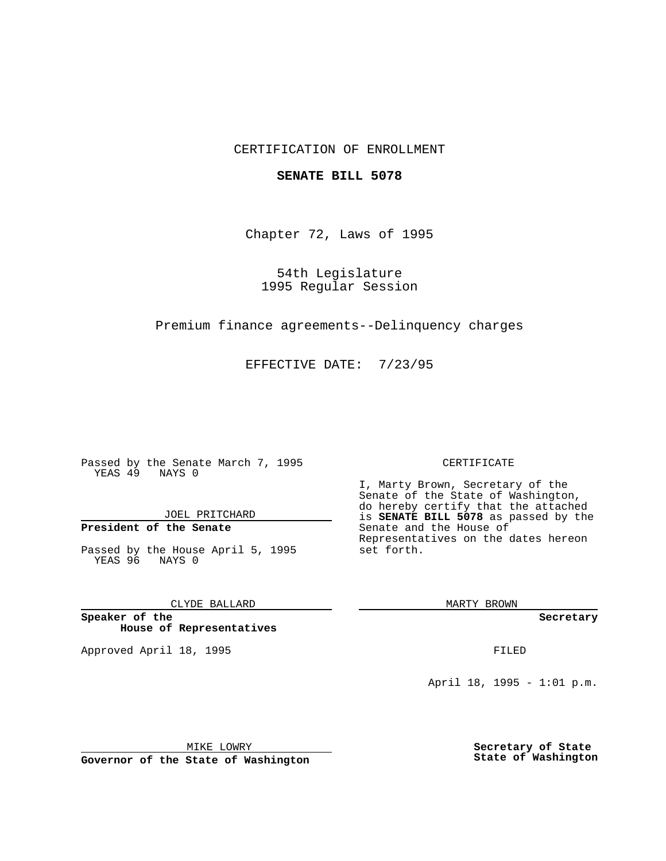## CERTIFICATION OF ENROLLMENT

### **SENATE BILL 5078**

Chapter 72, Laws of 1995

54th Legislature 1995 Regular Session

Premium finance agreements--Delinquency charges

EFFECTIVE DATE: 7/23/95

Passed by the Senate March 7, 1995 YEAS 49 NAYS 0

JOEL PRITCHARD

**President of the Senate**

Passed by the House April 5, 1995 YEAS 96 NAYS 0

CLYDE BALLARD

**Speaker of the House of Representatives**

Approved April 18, 1995 FILED

#### CERTIFICATE

I, Marty Brown, Secretary of the Senate of the State of Washington, do hereby certify that the attached is **SENATE BILL 5078** as passed by the Senate and the House of Representatives on the dates hereon set forth.

MARTY BROWN

**Secretary**

April 18, 1995 - 1:01 p.m.

MIKE LOWRY **Governor of the State of Washington** **Secretary of State State of Washington**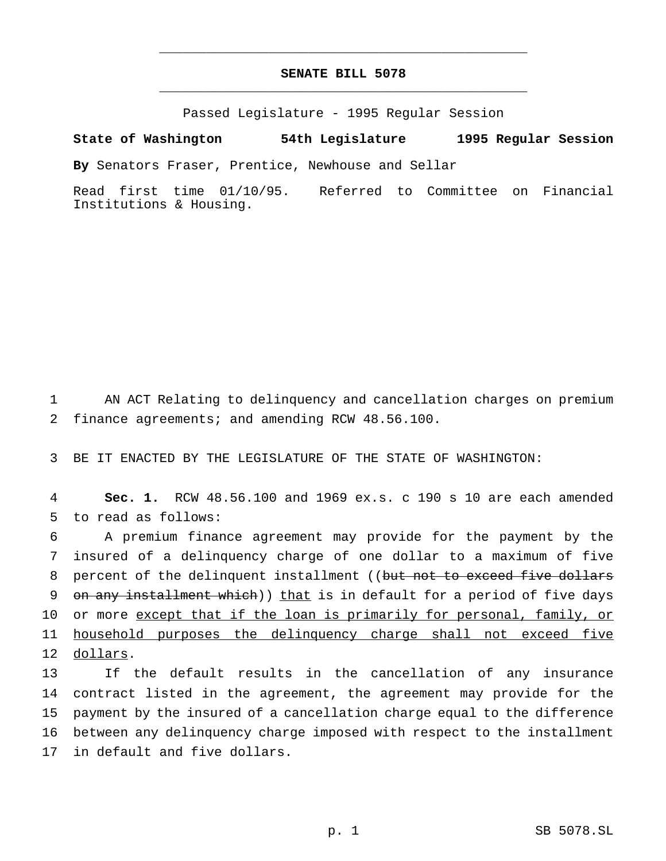# **SENATE BILL 5078** \_\_\_\_\_\_\_\_\_\_\_\_\_\_\_\_\_\_\_\_\_\_\_\_\_\_\_\_\_\_\_\_\_\_\_\_\_\_\_\_\_\_\_\_\_\_\_

\_\_\_\_\_\_\_\_\_\_\_\_\_\_\_\_\_\_\_\_\_\_\_\_\_\_\_\_\_\_\_\_\_\_\_\_\_\_\_\_\_\_\_\_\_\_\_

Passed Legislature - 1995 Regular Session

#### **State of Washington 54th Legislature 1995 Regular Session**

**By** Senators Fraser, Prentice, Newhouse and Sellar

Read first time 01/10/95. Referred to Committee on Financial Institutions & Housing.

1 AN ACT Relating to delinquency and cancellation charges on premium 2 finance agreements; and amending RCW 48.56.100.

3 BE IT ENACTED BY THE LEGISLATURE OF THE STATE OF WASHINGTON:

4 **Sec. 1.** RCW 48.56.100 and 1969 ex.s. c 190 s 10 are each amended 5 to read as follows:

6 A premium finance agreement may provide for the payment by the 7 insured of a delinquency charge of one dollar to a maximum of five 8 percent of the delinquent installment ((but not to exceed five dollars 9 on any installment which)) that is in default for a period of five days 10 or more except that if the loan is primarily for personal, family, or 11 household purposes the delinquency charge shall not exceed five 12 dollars.

 If the default results in the cancellation of any insurance contract listed in the agreement, the agreement may provide for the payment by the insured of a cancellation charge equal to the difference between any delinquency charge imposed with respect to the installment in default and five dollars.